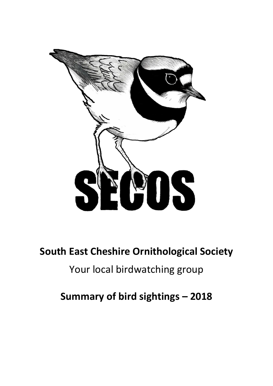

# **South East Cheshire Ornithological Society**

# Your local birdwatching group

**Summary of bird sightings – 2018**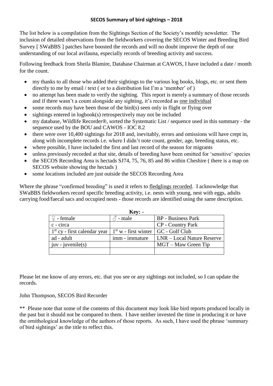The list below is a compilation from the Sightings Section of the Society's monthly newsletter. The inclusion of detailed observations from the fieldworkers covering the SECOS Winter and Breeding Bird Survey [ SWaBBS ] patches have boosted the records and will no doubt improve the depth of our understanding of our local avifauna, especially records of breeding activity and success.

Following feedback from Sheila Blamire, Database Chairman at CAWOS, I have included a date / month for the count.

- my thanks to all those who added their sightings to the various log books, blogs, etc. or sent them directly to me by email / text ( or to a distribution list I'm a 'member' of )
- no attempt has been made to verify the sighting. This report is merely a summary of those records and if there wasn't a count alongside any sighting, it's recorded as one individual
- some records may have been those of the bird(s) seen only in flight or flying over
- sightings entered in logbook(s) retrospectively may not be included
- my database, Wildlife Recorder®, sorted the Systematic List / sequence used in this summary the sequence used by the BOU and CAWOS - IOC 8.2
- there were over 10,400 sightings for 2018 and, inevitably, errors and omissions will have crept in, along with incomplete records i.e. where I didn't note count, gender, age, breeding status, etc.
- where possible, I have included the first and last record of the season for migrants
- unless previously recorded at that site, details of breeding have been omitted for 'sensitive' species
- the SECOS Recording Area is hectads SJ74, 75, 76, 85 and 86 within Cheshire ( there is a map on SECOS website showing the hectads )
- some locations included are just outside the SECOS Recording Area

Where the phrase "confirmed breeding" is used it refers to fledglings recorded. I acknowledge that SWaBBS fieldworkers record specific breeding activity, i.e. nests with young, nest with eggs, adults carrying food/faecal sacs and occupied nests - those records are identified using the same description.

**Key: -**

| <b>Rev: -</b>                                                                                  |                 |                            |
|------------------------------------------------------------------------------------------------|-----------------|----------------------------|
| $\mathcal{Q}$ - female                                                                         | $\delta$ - male | <b>BP</b> - Business Park  |
| c - circa                                                                                      |                 | <b>CP</b> - Country Park   |
| $\vert 1^{st}$ cy - first calendar year $\vert 1^{st}$ w - first winter $\vert$ GC - Golf Club |                 |                            |
| ad - adult                                                                                     | imm - immature  | LNR – Local Nature Reserve |
| $juv - juvenile(s)$                                                                            |                 | $MGT - Maw$ Green Tip      |
|                                                                                                |                 |                            |

Please let me know of any errors, etc. that you see or any sightings not included, so I can update the records.

# John Thompson, SECOS Bird Recorder

\*\* Please note that some of the contents of this document *may* look like bird reports produced locally in the past but it should not be compared to them. I have neither invested the time in producing it or have the ornithological knowledge of the authors of those reports. As such, I have used the phrase 'summary of bird sightings' as the title to reflect this.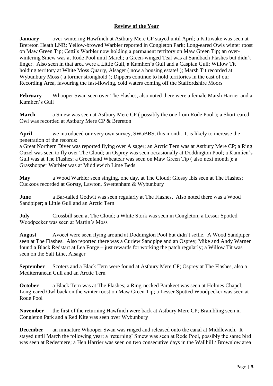# **Review of the Year**

**January** over-wintering Hawfinch at Astbury Mere CP stayed until April; a Kittiwake was seen at Brereton Heath LNR; Yellow-browed Warbler reported in Congleton Park; Long-eared Owls winter roost on Maw Green Tip; Cetti's Warbler now holding a permanent territory on Maw Green Tip; an overwintering Smew was at Rode Pool until March; a Green-winged Teal was at Sandbach Flashes but didn't linger. Also seen in that area were a Little Gull, a Kumlien's Gull and a Caspian Gull; Willow Tit holding territory at White Moss Quarry, Alsager ( now a housing estate! ); Marsh Tit recorded at Wybunbury Moss ( a former stronghold ); Dippers continue to hold territories in the east of our Recording Area, favouring the fast-flowing, cold waters coming off the Staffordshire Moors

**February** Whooper Swan seen over The Flashes, also noted there were a female Marsh Harrier and a Kumlien's Gull

**March** a Smew was seen at Astbury Mere CP ( possibly the one from Rode Pool ); a Short-eared Owl was recorded at Astbury Mere CP & Brereton

**April** we introduced our very own survey, SWaBBS, this month. It is likely to increase the penetration of the records:

a Great Northern Diver was reported flying over Alsager; an Arctic Tern was at Astbury Mere CP; a Ring Ouzel was seen to fly over The Cloud; an Osprey was seen occasionally at Doddington Pool; a Kumlien's Gull was at The Flashes; a Greenland Wheatear was seen on Maw Green Tip ( also next month ); a Grasshopper Warbler was at Middlewich Lime Beds

**May** a Wood Warbler seen singing, one day, at The Cloud; Glossy Ibis seen at The Flashes; Cuckoos recorded at Gorsty, Lawton, Swettenham & Wybunbury

**June** a Bar-tailed Godwit was seen regularly at The Flashes. Also noted there was a Wood Sandpiper; a Little Gull and an Arctic Tern

**July** Crossbill seen at The Cloud; a White Stork was seen in Congleton; a Lesser Spotted Woodpecker was seen at Martin's Moss

**August** Avocet were seen flying around at Doddington Pool but didn't settle. A Wood Sandpiper seen at The Flashes. Also reported there was a Curlew Sandpipe and an Osprey; Mike and Andy Warner found a Black Redstart at Lea Forge – just rewards for working the patch regularly; a Willow Tit was seen on the Salt Line, Alsager

**September** Scoters and a Black Tern were found at Astbury Mere CP; Osprey at The Flashes, also a Mediterranean Gull and an Arctic Tern

**October** a Black Tern was at The Flashes; a Ring-necked Parakeet was seen at Holmes Chapel; Long-eared Owl back on the winter roost on Maw Green Tip; a Lesser Spotted Woodpecker was seen at Rode Pool

**November** the first of the returning Hawfinch were back at Astbury Mere CP; Brambling seen in Congleton Park and a Red Kite was seen over Wybunbury

**December** an immature Whooper Swan was ringed and released onto the canal at Middlewich. It stayed until March the following year; a 'returning' Smew was seen at Rode Pool, possibly the same bird was seen at Redesmere; a Hen Harrier was seen on two consecutive days in the Wallhill / Brownlow area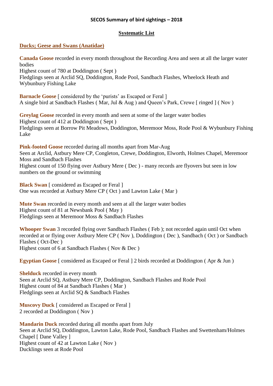## **Systematic List**

## **Ducks; Geese and Swans (Anatidae)**

**Canada Goose** recorded in every month throughout the Recording Area and seen at all the larger water bodies Highest count of 780 at Doddington ( Sept ) Fledglings seen at Arclid SQ, Doddington, Rode Pool, Sandbach Flashes, Wheelock Heath and Wybunbury Fishing Lake

**Barnacle Goose** [ considered by the 'purists' as Escaped or Feral ] A single bird at Sandbach Flashes ( Mar, Jul & Aug ) and Queen's Park, Crewe [ ringed ] ( Nov )

**Greylag Goose** recorded in every month and seen at some of the larger water bodies Highest count of 412 at Doddington ( Sept ) Fledglings seen at Borrow Pit Meadows, Doddington, Meremoor Moss, Rode Pool & Wybunbury Fishing Lake

**Pink-footed Goose** recorded during all months apart from Mar-Aug Seen at Arclid, Astbury Mere CP, Congleton, Crewe, Doddington, Elworth, Holmes Chapel, Meremoor Moss and Sandbach Flashes Highest count of 150 flying over Astbury Mere ( Dec ) - many records are flyovers but seen in low numbers on the ground or swimming

**Black Swan** [ considered as Escaped or Feral ] One was recorded at Astbury Mere CP ( Oct ) and Lawton Lake ( Mar )

**Mute Swan** recorded in every month and seen at all the larger water bodies Highest count of 81 at Newsbank Pool ( May ) Fledglings seen at Meremoor Moss & Sandbach Flashes

**Whooper Swan** 3 recorded flying over Sandbach Flashes ( Feb ); not recorded again until Oct when recorded at or flying over Astbury Mere CP ( Nov ), Doddington ( Dec ), Sandbach ( Oct ) or Sandbach Flashes ( Oct-Dec ) Highest count of 6 at Sandbach Flashes ( Nov & Dec )

**Egyptian Goose** [ considered as Escaped or Feral ] 2 birds recorded at Doddington ( Apr & Jun )

**Shelduck** recorded in every month Seen at Arclid SQ, Astbury Mere CP, Doddington, Sandbach Flashes and Rode Pool Highest count of 84 at Sandbach Flashes ( Mar ) Fledglings seen at Arclid SQ & Sandbach Flashes

**Muscovy Duck** [ considered as Escaped or Feral ] 2 recorded at Doddington ( Nov )

**Mandarin Duck** recorded during all months apart from July Seen at Arclid SQ, Doddington, Lawton Lake, Rode Pool, Sandbach Flashes and Swettenham/Holmes Chapel [ Dane Valley ] Highest count of 42 at Lawton Lake ( Nov ) Ducklings seen at Rode Pool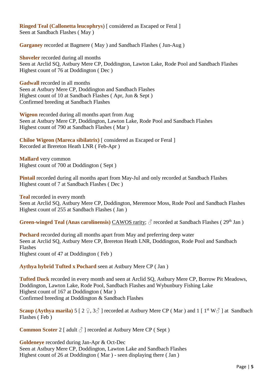**Ringed Teal (Callonetta leucophrys**) [ considered as Escaped or Feral ] Seen at Sandbach Flashes ( May )

**Garganey** recorded at Bagmere ( May ) and Sandbach Flashes ( Jun-Aug )

**Shoveler** recorded during all months Seen at Arclid SQ, Astbury Mere CP, Doddington, Lawton Lake, Rode Pool and Sandbach Flashes Highest count of 76 at Doddington ( Dec )

**Gadwall** recorded in all months Seen at Astbury Mere CP, Doddington and Sandbach Flashes Highest count of 10 at Sandbach Flashes ( Apr, Jun & Sept ) Confirmed breeding at Sandbach Flashes

**Wigeon** recorded during all months apart from Aug Seen at Astbury Mere CP, Doddington, Lawton Lake, Rode Pool and Sandbach Flashes Highest count of 790 at Sandbach Flashes ( Mar )

**Chiloe Wigeon (Mareca sibilatrix)** [ considered as Escaped or Feral ] Recorded at Brereton Heath LNR ( Feb-Apr )

**Mallard** very common Highest count of 700 at Doddington ( Sept )

**Pintail** recorded during all months apart from May-Jul and only recorded at Sandbach Flashes Highest count of 7 at Sandbach Flashes ( Dec )

**Teal** recorded in every month Seen at Arclid SQ, Astbury Mere CP, Doddington, Meremoor Moss, Rode Pool and Sandbach Flashes Highest count of 255 at Sandbach Flashes ( Jan )

Green-winged Teal (Anas carolinensis) CAWOS rarity;  $\circled{c}$  recorded at Sandbach Flashes (29<sup>th</sup> Jan)

**Pochard** recorded during all months apart from May and preferring deep water Seen at Arclid SQ, Astbury Mere CP, Brereton Heath LNR, Doddington, Rode Pool and Sandbach Flashes Highest count of 47 at Doddington ( Feb )

**Aythya hybrid Tufted x Pochard** seen at Astbury Mere CP ( Jan )

**Tufted Duck** recorded in every month and seen at Arclid SQ, Astbury Mere CP, Borrow Pit Meadows, Doddington, Lawton Lake, Rode Pool, Sandbach Flashes and Wybunbury Fishing Lake Highest count of 167 at Doddington ( Mar ) Confirmed breeding at Doddington & Sandbach Flashes

**Scaup (Aythya marila)** 5 [ 2  $\Omega$ , 3 $\delta$  ] recorded at Astbury Mere CP (Mar) and 1 [ 1<sup>st</sup> W $\delta$  ] at Sandbach Flashes ( Feb )

**Common Scoter** 2 [ adult  $\delta$  ] recorded at Astbury Mere CP ( Sept )

**Goldeneye** recorded during Jan-Apr & Oct-Dec Seen at Astbury Mere CP, Doddington, Lawton Lake and Sandbach Flashes Highest count of 26 at Doddington ( Mar ) - seen displaying there ( Jan )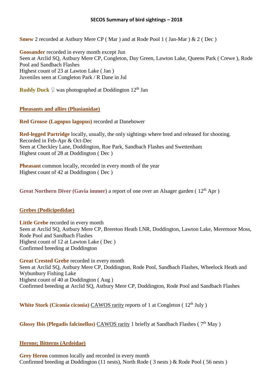**Smew** 2 recorded at Astbury Mere CP ( Mar ) and at Rode Pool 1 ( Jan-Mar ) & 2 ( Dec )

**Goosander** recorded in every month except Jun Seen at Arclid SQ, Astbury Mere CP, Congleton, Day Green, Lawton Lake, Queens Park ( Crewe ), Rode Pool and Sandbach Flashes Highest count of 23 at Lawton Lake ( Jan ) Juveniles seen at Congleton Park / R Dane in Jul

**Ruddy Duck**  $\Omega$  was photographed at Doddington 12<sup>th</sup> Jan

## **Pheasants and allies (Phasianidae)**

**Red Grouse (Lagopus lagopus)** recorded at Danebower

**Red-legged Partridge** locally, usually, the only sightings where bred and released for shooting. Recorded in Feb-Apr & Oct-Dec Seen at Checkley Lane, Doddington, Roe Park, Sandbach Flashes and Swettenham Highest count of 28 at Doddington ( Dec )

**Pheasant** common locally, recorded in every month of the year Highest count of 42 at Doddington ( Dec )

Great Northern Diver (Gavia immer) a report of one over an Alsager garden (12<sup>th</sup> Apr)

# **Grebes (Podicipedidae)**

Little Grebe recorded in every month Seen at Arclid SQ, Astbury Mere CP, Brereton Heath LNR, Doddington, Lawton Lake, Meremoor Moss, Rode Pool and Sandbach Flashes Highest count of 12 at Lawton Lake ( Dec ) Confirmed breeding at Doddington

**Great Crested Grebe** recorded in every month Seen at Arclid SQ, Astbury Mere CP, Doddington, Rode Pool, Sandbach Flashes, Wheelock Heath and Wybunbury Fishing Lake Highest count of 40 at Doddington ( Aug ) Confirmed breeding at Arclid SQ, Astbury Mere CP, Doddington, Rode Pool and Sandbach Flashes

**White Stork (Ciconia ciconia) CAWOS** rarity reports of 1 at Congleton (12<sup>th</sup> July)

Glossy Ibis (Plegadis falcinellus) CAWOS rarity 1 briefly at Sandbach Flashes (7<sup>th</sup> May)

## **Herons; Bitterns (Ardeidae)**

**Grey Heron** common locally and recorded in every month Confirmed breeding at Doddington (11 nests), North Rode ( 3 nests ) & Rode Pool ( 56 nests )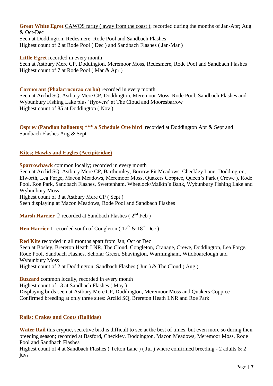**Great White Egret CAWOS** rarity (away from the coast); recorded during the months of Jan-Apr; Aug & Oct-Dec Seen at Doddington, Redesmere, Rode Pool and Sandbach Flashes Highest count of 2 at Rode Pool ( Dec ) and Sandbach Flashes ( Jan-Mar )

Little Egret recorded in every month Seen at Astbury Mere CP, Doddington, Meremoor Moss, Redesmere, Rode Pool and Sandbach Flashes Highest count of 7 at Rode Pool ( Mar & Apr )

## **Cormorant (Phalacrocorax carbo)** recorded in every month

Seen at Arclid SQ, Astbury Mere CP, Doddington, Meremoor Moss, Rode Pool, Sandbach Flashes and Wybunbury Fishing Lake plus 'flyovers' at The Cloud and Mooresbarrow Highest count of 85 at Doddington ( Nov )

**Osprey (Pandion haliaetus) \*\*\* a Schedule One bird** recorded at Doddington Apr & Sept and Sandbach Flashes Aug & Sept

# **Kites; Hawks and Eagles (Accipitridae)**

**Sparrowhawk** common locally; recorded in every month

Seen at Arclid SQ, Astbury Mere CP, Barthomley, Borrow Pit Meadows, Checkley Lane, Doddington, Elworth, Lea Forge, Macon Meadows, Meremoor Moss, Quakers Coppice, Queen's Park ( Crewe ), Rode Pool, Roe Park, Sandbach Flashes, Swettenham, Wheelock/Malkin's Bank, Wybunbury Fishing Lake and Wybunbury Moss

Highest count of 3 at Astbury Mere CP ( Sept )

Seen displaying at Macon Meadows, Rode Pool and Sandbach Flashes

**Marsh Harrier** ♀ recorded at Sandbach Flashes (2<sup>nd</sup> Feb)

**Hen Harrier** 1 recorded south of Congleton ( $17<sup>th</sup> \& 18<sup>th</sup>$  Dec)

**Red Kite** recorded in all months apart from Jan, Oct or Dec

Seen at Bosley, Brereton Heath LNR, The Cloud, Congleton, Cranage, Crewe, Doddington, Lea Forge, Rode Pool, Sandbach Flashes, Scholar Green, Shavington, Warmingham, Wildboarclough and Wybunbury Moss

Highest count of 2 at Doddington, Sandbach Flashes ( Jun ) & The Cloud ( Aug )

**Buzzard** common locally, recorded in every month

Highest count of 13 at Sandbach Flashes ( May ) Displaying birds seen at Astbury Mere CP, Doddington, Meremoor Moss and Quakers Coppice Confirmed breeding at only three sites: Arclid SQ, Brereton Heath LNR and Roe Park

## **Rails; Crakes and Coots (Rallidae)**

Water Rail this cryptic, secretive bird is difficult to see at the best of times, but even more so during their breeding season; recorded at Basford, Checkley, Doddington, Macon Meadows, Meremoor Moss, Rode Pool and Sandbach Flashes

Highest count of 4 at Sandbach Flashes (Tetton Lane) (Jul) where confirmed breeding - 2 adults  $\& 2$ juvs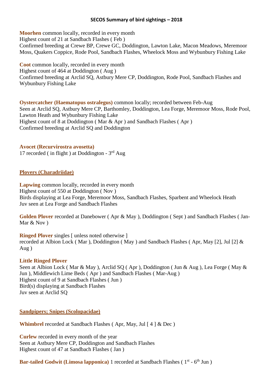**Moorhen** common locally, recorded in every month Highest count of 21 at Sandbach Flashes ( Feb ) Confirmed breeding at Crewe BP, Crewe GC, Doddington, Lawton Lake, Macon Meadows, Meremoor Moss, Quakers Coppice, Rode Pool, Sandbach Flashes, Wheelock Moss and Wybunbury Fishing Lake

**Coot** common locally, recorded in every month Highest count of 464 at Doddington ( Aug ) Confirmed breeding at Arclid SQ, Astbury Mere CP, Doddington, Rode Pool, Sandbach Flashes and Wybunbury Fishing Lake

**Oystercatcher (Haematopus ostralegus)** common locally; recorded between Feb-Aug Seen at Arclid SQ, Astbury Mere CP, Barthomley, Doddington, Lea Forge, Meremoor Moss, Rode Pool, Lawton Heath and Wybunbury Fishing Lake Highest count of 8 at Doddington ( Mar & Apr ) and Sandbach Flashes ( Apr ) Confirmed breeding at Arclid SQ and Doddington

#### **Avocet (Recurvirostra avosetta)**

17 recorded (in flight) at Doddington - 3rd Aug

## **Plovers (Charadriidae)**

**Lapwing** common locally, recorded in every month Highest count of 550 at Doddington ( Nov ) Birds displaying at Lea Forge, Meremoor Moss, Sandbach Flashes, Sparbent and Wheelock Heath Juv seen at Lea Forge and Sandbach Flashes

**Golden Plover** recorded at Danebower ( Apr & May ), Doddington ( Sept ) and Sandbach Flashes ( Jan-Mar & Nov )

**Ringed Plover** singles [ unless noted otherwise ] recorded at Albion Lock ( Mar ), Doddington ( May ) and Sandbach Flashes ( Apr, May [2], Jul [2] & Aug )

#### **Little Ringed Plover**

Seen at Albion Lock ( Mar & May ), Arclid SQ ( Apr ), Doddington ( Jun & Aug ), Lea Forge ( May & Jun ), Middlewich Lime Beds ( Apr ) and Sandbach Flashes ( Mar-Aug ) Highest count of 9 at Sandbach Flashes ( Jun ) Bird(s) displaying at Sandbach Flashes Juv seen at Arclid SQ

#### **Sandpipers; Snipes (Scolopacidae)**

**Whimbrel** recorded at Sandbach Flashes (Apr, May, Jul [4 ] & Dec)

**Curlew** recorded in every month of the year Seen at Astbury Mere CP, Doddington and Sandbach Flashes Highest count of 47 at Sandbach Flashes ( Jan )

Bar-tailed Godwit (Limosa lapponica) 1 recorded at Sandbach Flashes (1<sup>st</sup> - 6<sup>th</sup> Jun)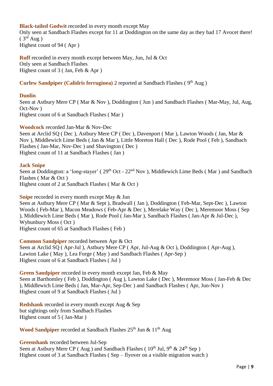## **Black-tailed Godwit** recorded in every month except May

Only seen at Sandbach Flashes except for 11 at Doddington on the same day as they had 17 Avocet there!  $(3<sup>rd</sup> Aug)$ Highest count of 94 ( Apr )

**Ruff** recorded in every month except between May, Jun, Jul & Oct Only seen at Sandbach Flashes Highest count of 3 ( Jan, Feb & Apr )

## **Curlew Sandpiper (Calidris ferruginea)** 2 reported at Sandbach Flashes ( 9 th Aug )

#### **Dunlin**

Seen at Astbury Mere CP ( Mar & Nov ), Doddington ( Jun ) and Sandbach Flashes ( Mar-May, Jul, Aug, Oct-Nov ) Highest count of 6 at Sandbach Flashes ( Mar )

**Woodcock** recorded Jan-Mar & Nov-Dec

Seen at Arclid SQ ( Dec ), Astbury Mere CP ( Dec ), Davenport ( Mar ), Lawton Woods ( Jan, Mar & Nov ), Middlewich Lime Beds ( Jan & Mar ), Little Moreton Hall ( Dec ), Rode Pool ( Feb ), Sandbach Flashes ( Jan-Mar, Nov-Dec ) and Shavington ( Dec ) Highest count of 11 at Sandbach Flashes ( Jan )

#### **Jack Snipe**

Seen at Doddington: a 'long-stayer' (29<sup>th</sup> Oct - 22<sup>nd</sup> Nov), Middlewich Lime Beds (Mar) and Sandbach Flashes ( Mar & Oct ) Highest count of 2 at Sandbach Flashes ( Mar & Oct )

**Snipe** recorded in every month except May & Jun

Seen at Astbury Mere CP ( Mar & Sept ), Bradwall ( Jan ), Doddington ( Feb-Mar, Sept-Dec ), Lawton Woods ( Feb-Mar ), Macon Meadows ( Feb-Apr & Dec ), Merelake Way ( Dec ), Meremoor Moss ( Sep ), Middlewich Lime Beds ( Mar ), Rode Pool ( Jan-Mar ), Sandbach Flashes ( Jan-Apr & Jul-Dec ), Wybunbury Moss ( Oct ) Highest count of 65 at Sandbach Flashes ( Feb )

**Common Sandpiper** recorded between Apr & Oct Seen at Arclid SQ (Apr-Jul), Astbury Mere CP (Apr, Jul-Aug & Oct), Doddington (Apr-Aug), Lawton Lake ( May ), Lea Forge ( May ) and Sandbach Flashes ( Apr-Sep ) Highest count of 6 at Sandbach Flashes ( Jul )

**Green Sandpiper** recorded in every month except Jan, Feb & May Seen at Barthomley ( Feb ), Doddington ( Aug ), Lawton Lake ( Dec ), Meremoor Moss ( Jan-Feb & Dec ), Middlewich Lime Beds ( Jan, Mar-Apr, Sep-Dec ) and Sandbach Flashes ( Apr, Jun-Nov ) Highest count of 9 at Sandbach Flashes ( Jul )

**Redshank** recorded in every month except Aug & Sep but sightings only from Sandbach Flashes Highest count of 5 ( Jan-Mar )

**Wood Sandpiper** recorded at Sandbach Flashes 25<sup>th</sup> Jun & 11<sup>th</sup> Aug

**Greenshank** recorded between Jul-Sep Seen at Astbury Mere CP (Aug) and Sandbach Flashes ( $10^{th}$  Jul,  $9^{th}$  &  $24^{th}$  Sep) Highest count of 3 at Sandbach Flashes (Sep – flyover on a visible migration watch)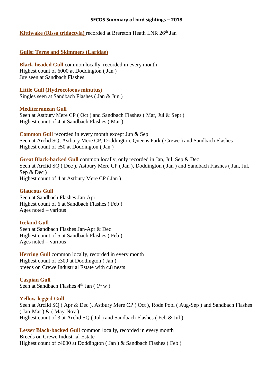## **Kittiwake (Rissa tridactyla)** recorded at Brereton Heath LNR 26<sup>th</sup> Jan

## **Gulls; Terns and Skimmers (Laridae)**

**Black-headed Gull** common locally, recorded in every month Highest count of 6000 at Doddington ( Jan ) Juv seen at Sandbach Flashes

**Little Gull (Hydrocoloeus minutus)**  Singles seen at Sandbach Flashes ( Jan & Jun )

#### **Mediterranean Gull**

Seen at Astbury Mere CP ( Oct ) and Sandbach Flashes ( Mar, Jul & Sept ) Highest count of 4 at Sandbach Flashes ( Mar )

**Common Gull** recorded in every month except Jun & Sep Seen at Arclid SQ, Astbury Mere CP, Doddington, Queens Park ( Crewe ) and Sandbach Flashes Highest count of c50 at Doddington ( Jan )

**Great Black-backed Gull** common locally, only recorded in Jan, Jul, Sep & Dec Seen at Arclid SQ ( Dec ), Astbury Mere CP ( Jan ), Doddington ( Jan ) and Sandbach Flashes ( Jan, Jul, Sep & Dec ) Highest count of 4 at Astbury Mere CP ( Jan )

#### **Glaucous Gull**

Seen at Sandbach Flashes Jan-Apr Highest count of 6 at Sandbach Flashes ( Feb ) Ages noted – various

#### **Iceland Gull**

Seen at Sandbach Flashes Jan-Apr & Dec Highest count of 5 at Sandbach Flashes ( Feb ) Ages noted – various

**Herring Gull** common locally, recorded in every month Highest count of c300 at Doddington ( Jan ) breeds on Crewe Industrial Estate with c.8 nests

**Caspian Gull**  Seen at Sandbach Flashes  $4^{\text{th}}$  Jan ( $1^{\text{st}}$  w)

#### **Yellow-legged Gull**

Seen at Arclid SQ ( Apr & Dec ), Astbury Mere CP ( Oct ), Rode Pool ( Aug-Sep ) and Sandbach Flashes  $( Jan-Mar ) & ( May-Nov )$ Highest count of 3 at Arclid SQ ( Jul ) and Sandbach Flashes ( Feb & Jul )

**Lesser Black-backed Gull** common locally, recorded in every month Breeds on Crewe Industrial Estate Highest count of c4000 at Doddington ( Jan ) & Sandbach Flashes ( Feb )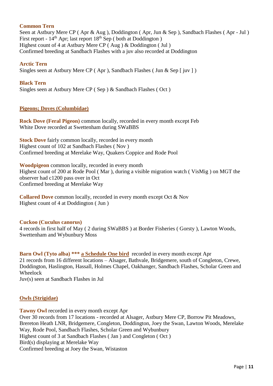#### **Common Tern**

Seen at Astbury Mere CP ( Apr & Aug ), Doddington ( Apr, Jun & Sep ), Sandbach Flashes ( Apr - Jul ) First report -  $14<sup>th</sup>$  Apr; last report  $18<sup>th</sup>$  Sep ( both at Doddington ) Highest count of 4 at Astbury Mere CP ( Aug ) & Doddington ( Jul ) Confirmed breeding at Sandbach Flashes with a juv also recorded at Doddington

**Arctic Tern**  Singles seen at Astbury Mere CP (Apr), Sandbach Flashes (Jun & Sep [ juv ])

**Black Tern**  Singles seen at Astbury Mere CP ( Sep ) & Sandbach Flashes ( Oct )

#### **Pigeons; Doves (Columbidae)**

**Rock Dove (Feral Pigeon)** common locally, recorded in every month except Feb White Dove recorded at Swettenham during SWaBBS

**Stock Dove** fairly common locally, recorded in every month Highest count of 102 at Sandbach Flashes ( Nov ) Confirmed breeding at Merelake Way, Quakers Coppice and Rode Pool

**Woodpigeon** common locally, recorded in every month Highest count of 200 at Rode Pool ( Mar ), during a visible migration watch ( VisMig ) on MGT the observer had c1200 pass over in Oct Confirmed breeding at Merelake Way

**Collared Dove** common locally, recorded in every month except Oct & Nov Highest count of 4 at Doddington ( Jun )

#### **Cuckoo (Cuculus canorus)**

4 records in first half of May ( 2 during SWaBBS ) at Border Fisheries ( Gorsty ), Lawton Woods, Swettenham and Wybunbury Moss

**Barn Owl (Tyto alba) \*\*\* a Schedule One bird** recorded in every month except Apr 21 records from 16 different locations – Alsager, Bathvale, Bridgemere, south of Congleton, Crewe, Doddington, Haslington, Hassall, Holmes Chapel, Oakhanger, Sandbach Flashes, Scholar Green and Wheelock

Juv(s) seen at Sandbach Flashes in Jul

#### **Owls (Strigidae)**

**Tawny Owl** recorded in every month except Apr Over 30 records from 17 locations - recorded at Alsager, Astbury Mere CP, Borrow Pit Meadows, Brereton Heath LNR, Bridgemere, Congleton, Doddington, Joey the Swan, Lawton Woods, Merelake Way, Rode Pool, Sandbach Flashes, Scholar Green and Wybunbury Highest count of 3 at Sandbach Flashes ( Jan ) and Congleton ( Oct ) Bird(s) displaying at Merelake Way Confirmed breeding at Joey the Swan, Wistaston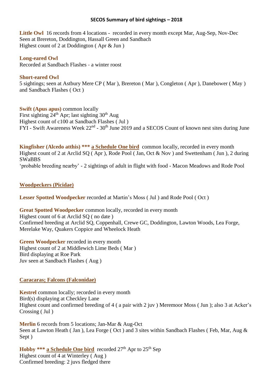**Little Owl** 16 records from 4 locations - recorded in every month except Mar, Aug-Sep, Nov-Dec Seen at Brereton, Doddington, Hassall Green and Sandbach Highest count of 2 at Doddington ( Apr & Jun )

**Long-eared Owl** 

Recorded at Sandbach Flashes **-** a winter roost

#### **Short-eared Owl**

5 sightings; seen at Astbury Mere CP ( Mar ), Brereton ( Mar ), Congleton ( Apr ), Danebower ( May ) and Sandbach Flashes ( Oct )

**Swift (Apus apus)** common locally First sighting  $24<sup>th</sup>$  Apr; last sighting  $30<sup>th</sup>$  Aug Highest count of c100 at Sandbach Flashes ( Jul ) FYI - Swift Awareness Week 22<sup>nd</sup> - 30<sup>th</sup> June 2019 and a SECOS Count of known nest sites during June

**Kingfisher (Alcedo atthis) \*\*\* a Schedule One bird** common locally, recorded in every month Highest count of 2 at Arclid SQ ( Apr ), Rode Pool ( Jan, Oct & Nov ) and Swettenham ( Jun ), 2 during SWaBBS 'probable breeding nearby' - 2 sightings of adult in flight with food - Macon Meadows and Rode Pool

## **Woodpeckers (Picidae)**

**Lesser Spotted Woodpecker** recorded at Martin's Moss ( Jul ) and Rode Pool ( Oct )

**Great Spotted Woodpecker** common locally, recorded in every month Highest count of 6 at Arclid SQ ( no date ) Confirmed breeding at Arclid SQ, Coppenhall, Crewe GC, Doddington, Lawton Woods, Lea Forge, Merelake Way, Quakers Coppice and Wheelock Heath

**Green Woodpecker** recorded in every month Highest count of 2 at Middlewich Lime Beds ( Mar ) Bird displaying at Roe Park Juv seen at Sandbach Flashes ( Aug )

#### **Caracaras; Falcons (Falconidae)**

**Kestrel** common locally; recorded in every month Bird(s) displaying at Checkley Lane Highest count and confirmed breeding of 4 ( a pair with 2 juv ) Meremoor Moss ( Jun ); also 3 at Acker's Crossing ( Jul )

**Merlin** 6 records from 5 locations; Jan-Mar & Aug-Oct Seen at Lawton Heath (Jan), Lea Forge (Oct) and 3 sites within Sandbach Flashes (Feb, Mar, Aug & Sept )

**Hobby \*\*\* a Schedule One bird** recorded 27<sup>th</sup> Apr to 25<sup>th</sup> Sep Highest count of 4 at Winterley ( Aug ) Confirmed breeding: 2 juvs fledged there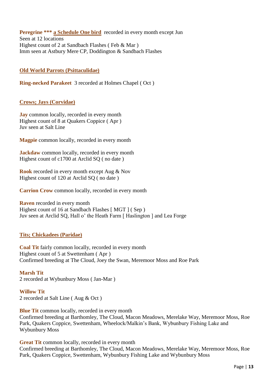**Peregrine \*\*\*** a Schedule One bird recorded in every month except Jun Seen at 12 locations Highest count of 2 at Sandbach Flashes ( Feb & Mar ) Imm seen at Astbury Mere CP, Doddington & Sandbach Flashes

## **Old World Parrots (Psittaculidae)**

**Ring-necked Parakeet** 3 recorded at Holmes Chapel ( Oct )

## **Crows; Jays (Corvidae)**

**Jay** common locally, recorded in every month Highest count of 8 at Quakers Coppice ( Apr ) Juv seen at Salt Line

**Magpie** common locally, recorded in every month

**Jackdaw** common locally, recorded in every month Highest count of c1700 at Arclid SQ ( no date )

**Rook** recorded in every month except Aug & Nov Highest count of 120 at Arclid SQ ( no date )

**Carrion Crow** common locally, recorded in every month

**Raven** recorded in every month Highest count of 16 at Sandbach Flashes [ MGT ] ( Sep ) Juv seen at Arclid SQ, Hall o' the Heath Farm [ Haslington ] and Lea Forge

#### **Tits; Chickadees (Paridae)**

**Coal Tit** fairly common locally, recorded in every month Highest count of 5 at Swettenham ( Apr ) Confirmed breeding at The Cloud, Joey the Swan, Meremoor Moss and Roe Park

**Marsh Tit** 2 recorded at Wybunbury Moss ( Jan-Mar )

**Willow Tit** 2 recorded at Salt Line ( Aug & Oct )

**Blue Tit** common locally, recorded in every month Confirmed breeding at Barthomley, The Cloud, Macon Meadows, Merelake Way, Meremoor Moss, Roe Park, Quakers Coppice, Swettenham, Wheelock/Malkin's Bank, Wybunbury Fishing Lake and Wybunbury Moss

**Great Tit** common locally, recorded in every month Confirmed breeding at Barthomley, The Cloud, Macon Meadows, Merelake Way, Meremoor Moss, Roe Park, Quakers Coppice, Swettenham, Wybunbury Fishing Lake and Wybunbury Moss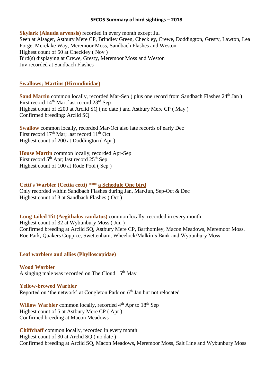**Skylark (Alauda arvensis)** recorded in every month except Jul Seen at Alsager, Astbury Mere CP, Brindley Green, Checkley, Crewe, Doddington, Gresty, Lawton, Lea Forge, Merelake Way, Meremoor Moss, Sandbach Flashes and Weston Highest count of 50 at Checkley ( Nov ) Bird(s) displaying at Crewe, Gresty, Meremoor Moss and Weston Juv recorded at Sandbach Flashes

## **Swallows; Martins (Hirundinidae)**

**Sand Martin** common locally, recorded Mar-Sep ( plus one record from Sandbach Flashes 24<sup>th</sup> Jan ) First record  $14<sup>th</sup>$  Mar; last record  $23<sup>rd</sup>$  Sep Highest count of c200 at Arclid SQ ( no date ) and Astbury Mere CP ( May ) Confirmed breeding: Arclid SQ

**Swallow** common locally, recorded Mar-Oct also late records of early Dec First record 17<sup>th</sup> Mar; last record 11<sup>th</sup> Oct Highest count of 200 at Doddington ( Apr )

**House Martin** common locally, recorded Apr-Sep First record  $5<sup>th</sup>$  Apr; last record  $25<sup>th</sup>$  Sep Highest count of 100 at Rode Pool ( Sep )

## **Cetti's Warbler (Cettia cetti) \*\*\* a Schedule One bird**

Only recorded within Sandbach Flashes during Jan, Mar-Jun, Sep-Oct & Dec Highest count of 3 at Sandbach Flashes ( Oct )

#### **Long-tailed Tit (Aegithalos caudatus)** common locally, recorded in every month

Highest count of 32 at Wybunbury Moss ( Jun ) Confirmed breeding at Arclid SQ, Astbury Mere CP, Barthomley, Macon Meadows, Meremoor Moss, Roe Park, Quakers Coppice, Swettenham, Wheelock/Malkin's Bank and Wybunbury Moss

#### **Leaf warblers and allies (Phylloscopidae)**

**Wood Warbler** A singing male was recorded on The Cloud  $15<sup>th</sup>$  May

## **Yellow-browed Warbler** Reported on 'the network' at Congleton Park on 6<sup>th</sup> Jan but not relocated

Willow Warbler common locally, recorded 4<sup>th</sup> Apr to 18<sup>th</sup> Sep Highest count of 5 at Astbury Mere CP ( Apr ) Confirmed breeding at Macon Meadows

**Chiffchaff** common locally, recorded in every month Highest count of 30 at Arclid SQ ( no date ) Confirmed breeding at Arclid SQ, Macon Meadows, Meremoor Moss, Salt Line and Wybunbury Moss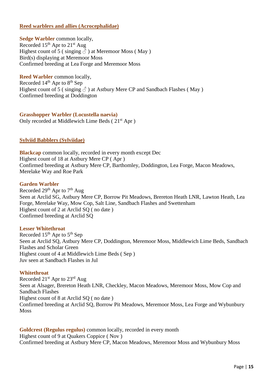## **Reed warblers and allies (Acrocephalidae)**

**Sedge Warbler** common locally, Recorded  $15<sup>th</sup>$  Apr to  $21<sup>st</sup>$  Aug Highest count of 5 (singing  $\vec{\delta}$ ) at Meremoor Moss (May) Bird(s) displaying at Meremoor Moss Confirmed breeding at Lea Forge and Meremoor Moss

**Reed Warbler** common locally, Recorded  $14<sup>th</sup>$  Apr to  $8<sup>th</sup>$  Sep Highest count of 5 (singing  $\hat{\beta}$ ) at Astbury Mere CP and Sandbach Flashes (May) Confirmed breeding at Doddington

**Grasshopper Warbler (Locustella naevia)** Only recorded at Middlewich Lime Beds (21<sup>st</sup> Apr)

#### **Sylviid Babblers (Sylviidae)**

**Blackcap** common locally, recorded in every month except Dec Highest count of 18 at Astbury Mere CP ( Apr ) Confirmed breeding at Astbury Mere CP, Barthomley, Doddington, Lea Forge, Macon Meadows, Merelake Way and Roe Park

#### **Garden Warbler**

Recorded 29<sup>th</sup> Apr to 7<sup>th</sup> Aug Seen at Arclid SG, Astbury Mere CP, Borrow Pit Meadows, Brereton Heath LNR, Lawton Heath, Lea Forge, Merelake Way, Mow Cop, Salt Line, Sandbach Flashes and Swettenham Highest count of 2 at Arclid SQ ( no date ) Confirmed breeding at Arclid SQ

#### **Lesser Whitethroat**

Recorded  $15<sup>th</sup>$  Apr to  $5<sup>th</sup>$  Sep Seen at Arclid SQ, Astbury Mere CP, Doddington, Meremoor Moss, Middlewich Lime Beds, Sandbach Flashes and Scholar Green Highest count of 4 at Middlewich Lime Beds ( Sep ) Juv seen at Sandbach Flashes in Jul

#### **Whitethroat**

Recorded 21st Apr to 23rd Aug Seen at Alsager, Brereton Heath LNR, Checkley, Macon Meadows, Meremoor Moss, Mow Cop and Sandbach Flashes Highest count of 8 at Arclid SQ ( no date ) Confirmed breeding at Arclid SQ, Borrow Pit Meadows, Meremoor Moss, Lea Forge and Wybunbury Moss

**Goldcrest (Regulus regulus)** common locally, recorded in every month Highest count of 9 at Quakers Coppice ( Nov ) Confirmed breeding at Astbury Mere CP, Macon Meadows, Meremoor Moss and Wybunbury Moss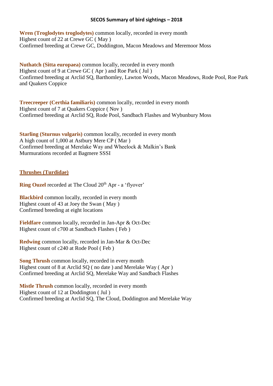**Wren (Troglodytes troglodytes)** common locally, recorded in every month Highest count of 22 at Crewe GC ( May ) Confirmed breeding at Crewe GC, Doddington, Macon Meadows and Meremoor Moss

**Nuthatch (Sitta europaea)** common locally, recorded in every month Highest count of 9 at Crewe GC ( Apr ) and Roe Park ( Jul ) Confirmed breeding at Arclid SQ, Barthomley, Lawton Woods, Macon Meadows, Rode Pool, Roe Park and Quakers Coppice

**Treecreeper (Certhia familiaris)** common locally, recorded in every month Highest count of 7 at Quakers Coppice ( Nov ) Confirmed breeding at Arclid SQ, Rode Pool, Sandbach Flashes and Wybunbury Moss

**Starling (Sturnus vulgaris)** common locally, recorded in every month A high count of 1,000 at Astbury Mere CP ( Mar ) Confirmed breeding at Merelake Way and Wheelock & Malkin's Bank Murmurations recorded at Bagmere SSSI

## **Thrushes (Turdidae)**

**Ring Ouzel** recorded at The Cloud 20<sup>th</sup> Apr - a 'flyover'

**Blackbird** common locally, recorded in every month Highest count of 43 at Joey the Swan ( May ) Confirmed breeding at eight locations

**Fieldfare** common locally, recorded in Jan-Apr & Oct-Dec Highest count of c700 at Sandbach Flashes ( Feb )

**Redwing** common locally, recorded in Jan-Mar & Oct-Dec Highest count of c240 at Rode Pool ( Feb )

**Song Thrush** common locally, recorded in every month Highest count of 8 at Arclid SQ ( no date ) and Merelake Way ( Apr ) Confirmed breeding at Arclid SQ, Merelake Way and Sandbach Flashes

**Mistle Thrush** common locally, recorded in every month Highest count of 12 at Doddington ( Jul ) Confirmed breeding at Arclid SQ, The Cloud, Doddington and Merelake Way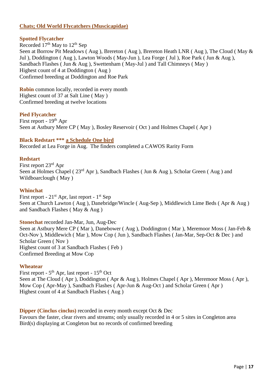## **Chats; Old World Flycatchers (Muscicapidae)**

## **Spotted Flycatcher**

Recorded  $17<sup>th</sup>$  May to  $12<sup>th</sup>$  Sep Seen at Borrow Pit Meadows ( Aug ), Brereton ( Aug ), Brereton Heath LNR ( Aug ), The Cloud ( May & Jul ), Doddington ( Aug ), Lawton Woods ( May-Jun ), Lea Forge ( Jul ), Roe Park ( Jun & Aug ), Sandbach Flashes ( Jun & Aug ), Swettenham ( May-Jul ) and Tall Chimneys ( May ) Highest count of 4 at Doddington ( Aug ) Confirmed breeding at Doddington and Roe Park

**Robin** common locally, recorded in every month Highest count of 37 at Salt Line ( May ) Confirmed breeding at twelve locations

## **Pied Flycatcher**

First report - 19<sup>th</sup> Apr Seen at Astbury Mere CP ( May ), Bosley Reservoir ( Oct ) and Holmes Chapel ( Apr )

#### **Black Redstart \*\*\* a Schedule One bird**

Recorded at Lea Forge in Aug. The finders completed a CAWOS Rarity Form

#### **Redstart**

First report 23rd Apr Seen at Holmes Chapel (  $23<sup>rd</sup>$  Apr ), Sandbach Flashes ( Jun & Aug ), Scholar Green ( Aug ) and Wildboarclough ( May )

#### **Whinchat**

First report - 21<sup>st</sup> Apr, last report - 1<sup>st</sup> Sep Seen at Church Lawton ( Aug ), Danebridge/Wincle ( Aug-Sep ), Middlewich Lime Beds ( Apr & Aug ) and Sandbach Flashes ( May & Aug )

**Stonechat** recorded Jan-Mar, Jun, Aug-Dec

Seen at Astbury Mere CP ( Mar ), Danebower ( Aug ), Doddington ( Mar ), Meremoor Moss ( Jan-Feb & Oct-Nov ), Middlewich ( Mar ), Mow Cop ( Jun ), Sandbach Flashes ( Jan-Mar, Sep-Oct & Dec ) and Scholar Green ( Nov ) Highest count of 3 at Sandbach Flashes ( Feb ) Confirmed Breeding at Mow Cop

#### **Wheatear**

First report - 5<sup>th</sup> Apr, last report - 15<sup>th</sup> Oct Seen at The Cloud (Apr), Doddington (Apr & Aug), Holmes Chapel (Apr), Meremoor Moss (Apr), Mow Cop ( Apr-May ), Sandbach Flashes ( Apr-Jun & Aug-Oct ) and Scholar Green ( Apr ) Highest count of 4 at Sandbach Flashes ( Aug )

**Dipper (Cinclus cinclus)** recorded in every month except Oct & Dec Favours the faster, clear rivers and streams; only usually recorded in 4 or 5 sites in Congleton area Bird(s) displaying at Congleton but no records of confirmed breeding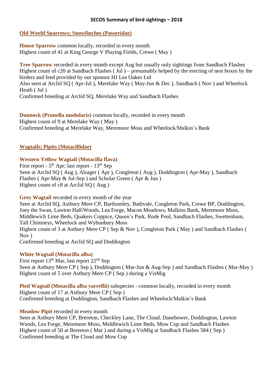## **Old World Sparrows; Snowfinches (Passeridae)**

**House Sparrow** common locally, recorded in every month Highest count of 41 at King George V Playing Fields, Crewe ( May )

**Tree Sparrow** recorded in every month except Aug but usually only sightings from Sandbach Flashes Highest count of c20 at Sandbach Flashes ( Jul ) – presumably helped by the erecting of nest boxes by the birders and feed provided by our sponsor HJ Lea Oakes Ltd Also seen at Arclid SQ ( Apr-Jul ), Merelake Way ( May-Jun & Dec ), Sandbach ( Nov ) and Wheelock Heath ( Jul ) Confirmed breeding at Arclid SQ, Merelake Way and Sandbach Flashes

**Dunnock (Prunella modularis)** common locally, recorded in every month Highest count of 9 at Merelake Way ( May ) Confirmed breeding at Merelake Way, Meremoor Moss and Wheelock/Malkin's Bank

## **Wagtails; Pipits (Motacillidae)**

## **Western Yellow Wagtail (Motacilla flava)**

First report -  $5<sup>th</sup>$  Apr; last report -  $13<sup>th</sup>$  Sep Seen at Arclid SQ (Aug ), Alsager (Apr ), Congleton (Aug ), Doddington (Apr-May ), Sandbach Flashes ( Apr-May & Jul-Sep ) and Scholar Green ( Apr & Jun ) Highest count of c8 at Arclid SQ ( Aug )

**Grey Wagtail** recorded in every month of the year

Seen at Arclid SQ, Astbury Mere CP, Barthomley, Bathvale, Congleton Park, Crewe BP, Doddington, Joey the Swan, Lawton Hall/Woods, Lea Forge, Macon Meadows, Malkins Bank, Meremoor Moss, Middlewich Lime Beds, Quakers Coppice, Queen's Park, Rode Pool, Sandbach Flashes, Swettenham, Tall Chimneys, Wheelock and Wybunbury Moss Highest count of 3 at Astbury Mere CP ( Sep & Nov ), Congleton Park ( May ) and Sandbach Flashes ( Nov )

Confirmed breeding at Arclid SQ and Doddington

## **White Wagtail (Motacilla alba)**

First report 13<sup>th</sup> Mar, last report 22<sup>nd</sup> Sep Seen at Astbury Mere CP ( Sep ), Doddington ( Mar-Jun & Aug-Sep ) and Sandbach Flashes ( Mar-May ) Highest count of 5 over Astbury Mere CP ( Sep ) during a VisMig

**Pied Wagtail (Motacilla alba yarrellii)** subspecies - common locally, recorded in every month Highest count of 17 at Astbury Mere CP ( Sep ) Confirmed breeding at Doddington, Sandbach Flashes and Wheelock/Malkin's Bank

## **Meadow Pipit** recorded in every month

Seen at Astbury Mere CP, Brereton, Checkley Lane, The Cloud, Danebower, Doddington, Lawton Woods, Lea Forge, Meremoor Moss, Middlewich Lime Beds, Mow Cop and Sandbach Flashes Highest count of 50 at Brereton ( Mar ) and during a VisMig at Sandbach Flashes 584 ( Sep ) Confirmed breeding at The Cloud and Mow Cop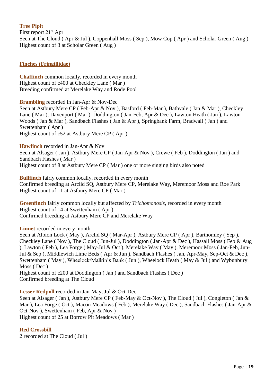## **Tree Pipit**

First report 21<sup>st</sup> Apr Seen at The Cloud ( Apr & Jul ), Coppenhall Moss ( Sep ), Mow Cop ( Apr ) and Scholar Green ( Aug ) Highest count of 3 at Scholar Green ( Aug )

#### **Finches (Fringillidae)**

**Chaffinch** common locally, recorded in every month Highest count of c400 at Checkley Lane ( Mar ) Breeding confirmed at Merelake Way and Rode Pool

**Brambling** recorded in Jan-Apr & Nov-Dec Seen at Astbury Mere CP ( Feb-Apr & Nov ), Basford ( Feb-Mar ), Bathvale ( Jan & Mar ), Checkley Lane ( Mar ), Davenport ( Mar ), Doddington ( Jan-Feb, Apr & Dec ), Lawton Heath ( Jan ), Lawton Woods ( Jan & Mar ), Sandbach Flashes ( Jan & Apr ), Springbank Farm, Bradwall ( Jan ) and Swettenham ( Apr ) Highest count of c52 at Astbury Mere CP ( Apr )

**Hawfinch** recorded in Jan-Apr & Nov Seen at Alsager (Jan), Astbury Mere CP (Jan-Apr & Nov), Crewe (Feb), Doddington (Jan) and Sandbach Flashes ( Mar ) Highest count of 8 at Astbury Mere CP ( Mar ) one or more singing birds also noted

**Bullfinch** fairly common locally, recorded in every month Confirmed breeding at Arclid SQ, Astbury Mere CP, Merelake Way, Meremoor Moss and Roe Park Highest count of 11 at Astbury Mere CP ( Mar )

**Greenfinch** fairly common locally but affected by *Trichomonosis*, recorded in every month Highest count of 14 at Swettenham ( Apr ) Confirmed breeding at Astbury Mere CP and Merelake Way

Linnet recorded in every month

Seen at Albion Lock (May), Arclid SQ (Mar-Apr), Astbury Mere CP (Apr), Barthomley (Sep), Checkley Lane ( Nov ), The Cloud ( Jun-Jul ), Doddington ( Jan-Apr & Dec ), Hassall Moss ( Feb & Aug ), Lawton ( Feb ), Lea Forge ( May-Jul & Oct ), Merelake Way ( May ), Meremoor Moss ( Jan-Feb, Jun-Jul & Sep ), Middlewich Lime Beds ( Apr & Jun ), Sandbach Flashes ( Jan, Apr-May, Sep-Oct & Dec ), Swettenham ( May ), Wheelock/Malkin's Bank ( Jun ), Wheelock Heath ( May & Jul ) and Wybunbury Moss ( Dec )

Highest count of c200 at Doddington ( Jan ) and Sandbach Flashes ( Dec ) Confirmed breeding at The Cloud

**Lesser Redpoll** recorded in Jan-May, Jul & Oct-Dec Seen at Alsager (Jan), Astbury Mere CP (Feb-May & Oct-Nov), The Cloud (Jul), Congleton (Jan & Mar ), Lea Forge ( Oct ), Macon Meadows ( Feb ), Merelake Way ( Dec ), Sandbach Flashes ( Jan-Apr & Oct-Nov ), Swettenham ( Feb, Apr & Nov ) Highest count of 25 at Borrow Pit Meadows ( Mar )

#### **Red Crossbill**

2 recorded at The Cloud ( Jul )